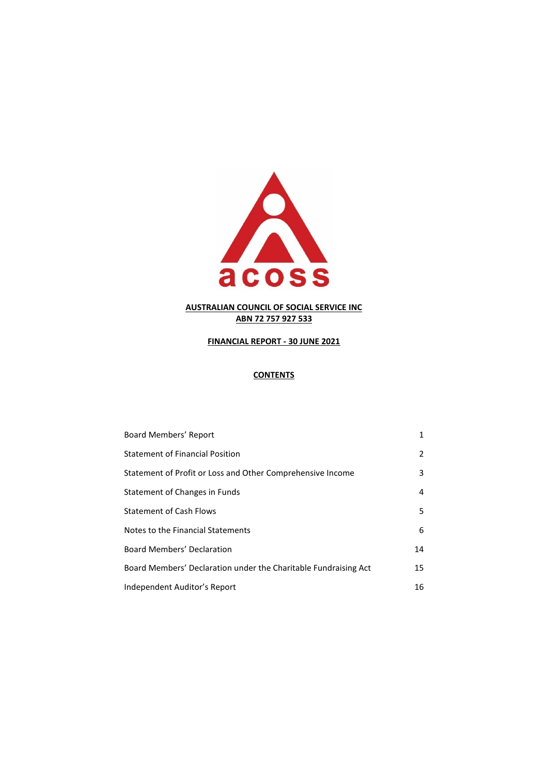

# **FINANCIAL REPORT - 30 JUNE 2021**

# **CONTENTS**

| Board Members' Report                                           | 1  |
|-----------------------------------------------------------------|----|
| <b>Statement of Financial Position</b>                          | 2  |
| Statement of Profit or Loss and Other Comprehensive Income      | 3  |
| Statement of Changes in Funds                                   | 4  |
| <b>Statement of Cash Flows</b>                                  | 5  |
| Notes to the Financial Statements                               | 6  |
| <b>Board Members' Declaration</b>                               | 14 |
| Board Members' Declaration under the Charitable Fundraising Act | 15 |
| Independent Auditor's Report                                    | 16 |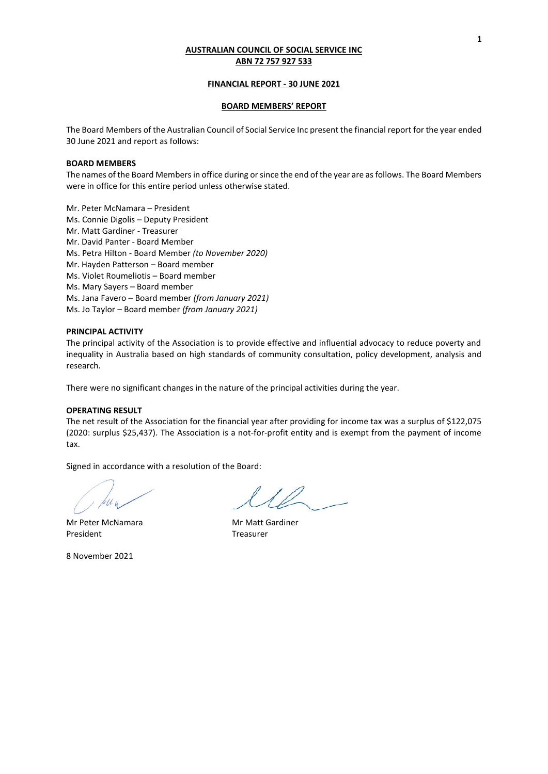### **FINANCIAL REPORT - 30 JUNE 2021**

### **BOARD MEMBERS' REPORT**

The Board Members of the Australian Council of Social Service Inc present the financial report for the year ended 30 June 2021 and report as follows:

### **BOARD MEMBERS**

The names of the Board Members in office during or since the end of the year are as follows. The Board Members were in office for this entire period unless otherwise stated.

- Mr. Peter McNamara President
- Ms. Connie Digolis Deputy President
- Mr. Matt Gardiner Treasurer
- Mr. David Panter Board Member
- Ms. Petra Hilton Board Member *(to November 2020)*
- Mr. Hayden Patterson Board member
- Ms. Violet Roumeliotis Board member
- Ms. Mary Sayers Board member
- Ms. Jana Favero Board member *(from January 2021)*

Ms. Jo Taylor – Board member *(from January 2021)*

#### **PRINCIPAL ACTIVITY**

The principal activity of the Association is to provide effective and influential advocacy to reduce poverty and inequality in Australia based on high standards of community consultation, policy development, analysis and research.

There were no significant changes in the nature of the principal activities during the year.

## **OPERATING RESULT**

The net result of the Association for the financial year after providing for income tax was a surplus of \$122,075 (2020: surplus \$25,437). The Association is a not-for-profit entity and is exempt from the payment of income tax.

Signed in accordance with a resolution of the Board:

Mr Peter McNamara Mr Matt Gardiner President Treasurer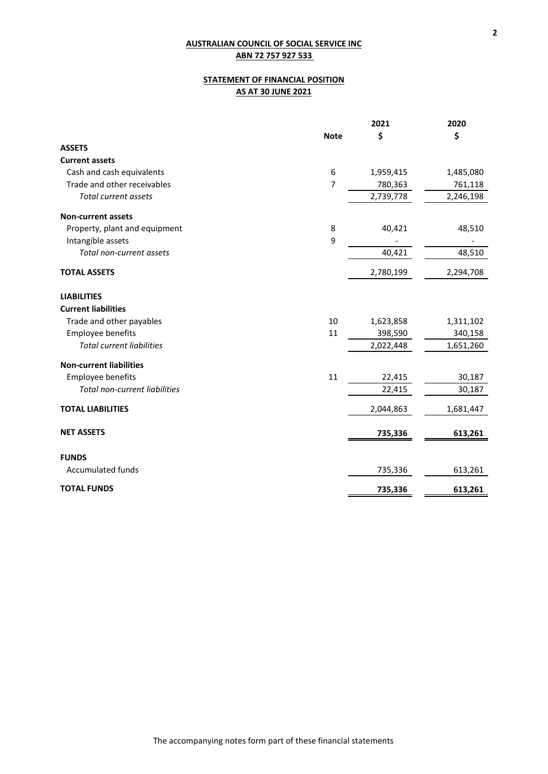# **STATEMENT OF FINANCIAL POSITION AS AT 30 JUNE 2021**

|                                  |             | 2021      | 2020      |
|----------------------------------|-------------|-----------|-----------|
|                                  | <b>Note</b> | \$        | \$        |
| <b>ASSETS</b>                    |             |           |           |
| <b>Current assets</b>            |             |           |           |
| Cash and cash equivalents        | 6           | 1,959,415 | 1,485,080 |
| Trade and other receivables      | 7           | 780,363   | 761,118   |
| <b>Total current assets</b>      |             | 2,739,778 | 2,246,198 |
| <b>Non-current assets</b>        |             |           |           |
| Property, plant and equipment    | 8           | 40,421    | 48,510    |
| Intangible assets                | 9           |           |           |
| Total non-current assets         |             | 40,421    | 48,510    |
| <b>TOTAL ASSETS</b>              |             | 2,780,199 | 2,294,708 |
| <b>LIABILITIES</b>               |             |           |           |
| <b>Current liabilities</b>       |             |           |           |
| Trade and other payables         | 10          | 1,623,858 | 1,311,102 |
| Employee benefits                | 11          | 398,590   | 340,158   |
| <b>Total current liabilities</b> |             | 2,022,448 | 1,651,260 |
| <b>Non-current liabilities</b>   |             |           |           |
| Employee benefits                | 11          | 22,415    | 30,187    |
| Total non-current liabilities    |             | 22,415    | 30,187    |
| <b>TOTAL LIABILITIES</b>         |             | 2,044,863 | 1,681,447 |
| <b>NET ASSETS</b>                |             | 735,336   | 613,261   |
| <b>FUNDS</b>                     |             |           |           |
| Accumulated funds                |             | 735,336   | 613,261   |
| <b>TOTAL FUNDS</b>               |             | 735,336   | 613,261   |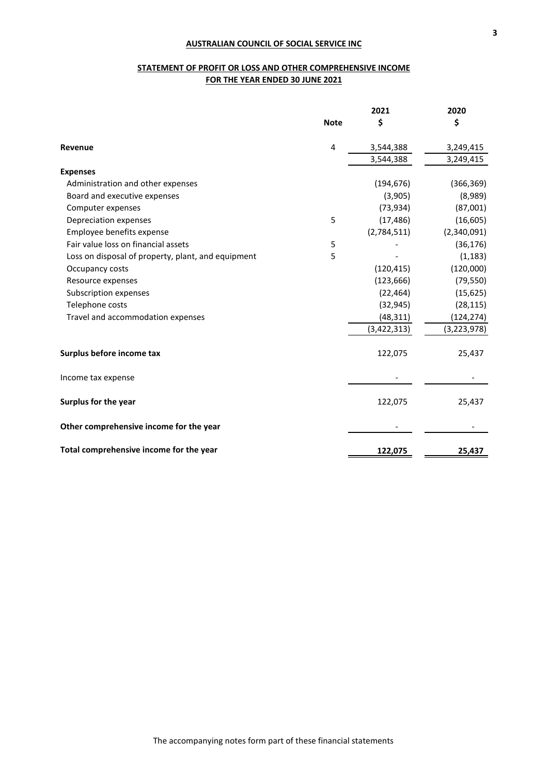# **STATEMENT OF PROFIT OR LOSS AND OTHER COMPREHENSIVE INCOME FOR THE YEAR ENDED 30 JUNE 2021**

|                                                    |             | 2021        | 2020          |
|----------------------------------------------------|-------------|-------------|---------------|
|                                                    | <b>Note</b> | \$          | \$            |
| Revenue                                            | 4           | 3,544,388   | 3,249,415     |
|                                                    |             | 3,544,388   | 3,249,415     |
| <b>Expenses</b>                                    |             |             |               |
| Administration and other expenses                  |             | (194, 676)  | (366, 369)    |
| Board and executive expenses                       |             | (3,905)     | (8,989)       |
| Computer expenses                                  |             | (73, 934)   | (87,001)      |
| Depreciation expenses                              | 5           | (17, 486)   | (16, 605)     |
| Employee benefits expense                          |             | (2,784,511) | (2,340,091)   |
| Fair value loss on financial assets                | 5           |             | (36, 176)     |
| Loss on disposal of property, plant, and equipment | 5           |             | (1, 183)      |
| Occupancy costs                                    |             | (120, 415)  | (120,000)     |
| Resource expenses                                  |             | (123, 666)  | (79, 550)     |
| Subscription expenses                              |             | (22, 464)   | (15, 625)     |
| Telephone costs                                    |             | (32, 945)   | (28, 115)     |
| Travel and accommodation expenses                  |             | (48, 311)   | (124, 274)    |
|                                                    |             | (3,422,313) | (3, 223, 978) |
| Surplus before income tax                          |             | 122,075     | 25,437        |
| Income tax expense                                 |             |             |               |
| Surplus for the year                               |             | 122,075     | 25,437        |
| Other comprehensive income for the year            |             |             |               |
| Total comprehensive income for the year            |             | 122,075     | 25,437        |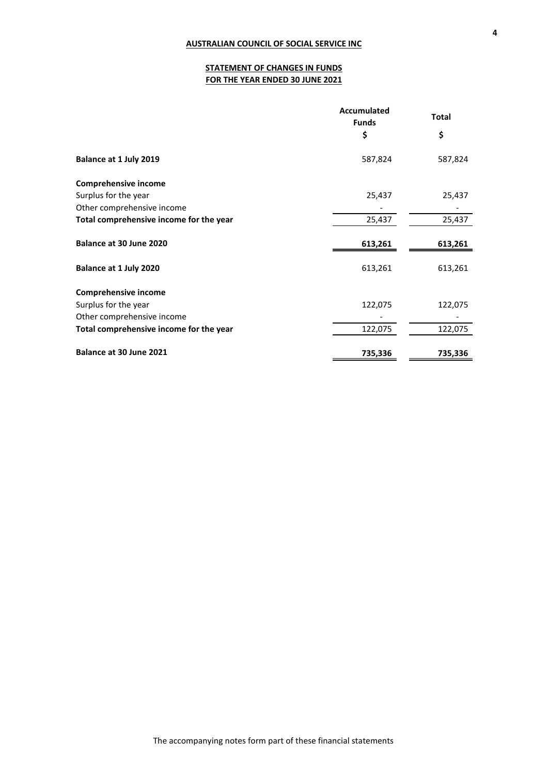# **STATEMENT OF CHANGES IN FUNDS FOR THE YEAR ENDED 30 JUNE 2021**

|                                         | Accumulated<br><b>Funds</b> | <b>Total</b> |  |
|-----------------------------------------|-----------------------------|--------------|--|
|                                         | \$                          | \$           |  |
| Balance at 1 July 2019                  | 587,824                     | 587,824      |  |
| Comprehensive income                    |                             |              |  |
| Surplus for the year                    | 25,437                      | 25,437       |  |
| Other comprehensive income              |                             |              |  |
| Total comprehensive income for the year | 25,437                      | 25,437       |  |
| Balance at 30 June 2020                 | 613,261                     | 613,261      |  |
| Balance at 1 July 2020                  | 613,261                     | 613,261      |  |
| <b>Comprehensive income</b>             |                             |              |  |
| Surplus for the year                    | 122,075                     | 122,075      |  |
| Other comprehensive income              |                             |              |  |
| Total comprehensive income for the year | 122,075                     | 122,075      |  |
| Balance at 30 June 2021                 | 735,336                     | 735,336      |  |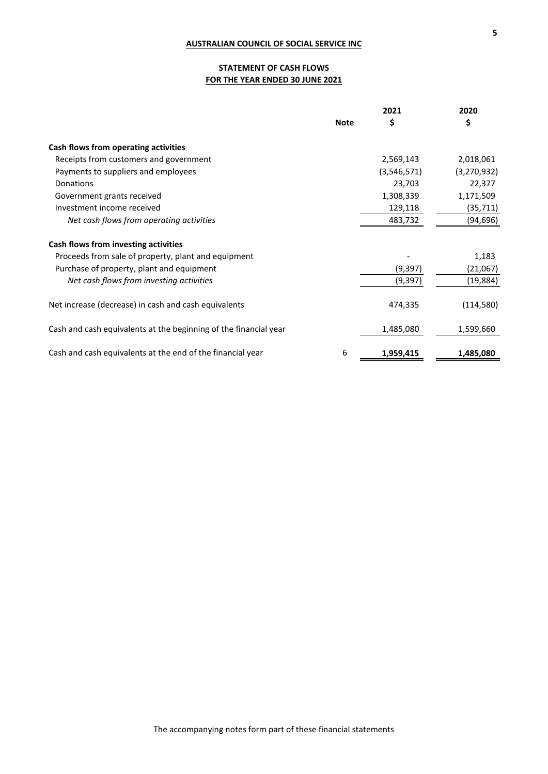# **STATEMENT OF CASH FLOWS FOR THE YEAR ENDED 30 JUNE 2021**

|                                                                  | <b>Note</b> | 2021        | 2020        |
|------------------------------------------------------------------|-------------|-------------|-------------|
|                                                                  |             | \$          | \$          |
| Cash flows from operating activities                             |             |             |             |
| Receipts from customers and government                           |             | 2,569,143   | 2,018,061   |
| Payments to suppliers and employees                              |             | (3,546,571) | (3,270,932) |
| Donations                                                        |             | 23,703      | 22,377      |
| Government grants received                                       |             | 1,308,339   | 1,171,509   |
| Investment income received                                       |             | 129,118     | (35, 711)   |
| Net cash flows from operating activities                         |             | 483,732     | (94, 696)   |
| Cash flows from investing activities                             |             |             |             |
| Proceeds from sale of property, plant and equipment              |             |             | 1,183       |
| Purchase of property, plant and equipment                        |             | (9, 397)    | (21,067)    |
| Net cash flows from investing activities                         |             | (9, 397)    | (19, 884)   |
| Net increase (decrease) in cash and cash equivalents             |             | 474,335     | (114, 580)  |
| Cash and cash equivalents at the beginning of the financial year |             | 1,485,080   | 1,599,660   |
| Cash and cash equivalents at the end of the financial year       | 6           | 1,959,415   | 1,485,080   |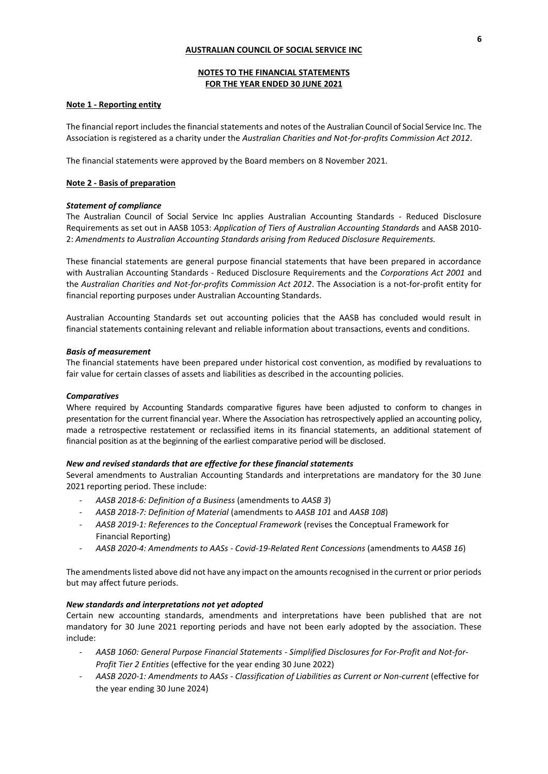# **NOTES TO THE FINANCIAL STATEMENTS FOR THE YEAR ENDED 30 JUNE 2021**

## **Note 1 - Reporting entity**

The financial report includes the financial statements and notes of the Australian Council of Social Service Inc. The Association is registered as a charity under the *Australian Charities and Not-for-profits Commission Act 2012*.

The financial statements were approved by the Board members on 8 November 2021.

# **Note 2 - Basis of preparation**

## *Statement of compliance*

The Australian Council of Social Service Inc applies Australian Accounting Standards - Reduced Disclosure Requirements as set out in AASB 1053: *Application of Tiers of Australian Accounting Standards* and AASB 2010- 2: *Amendments to Australian Accounting Standards arising from Reduced Disclosure Requirements.* 

These financial statements are general purpose financial statements that have been prepared in accordance with Australian Accounting Standards - Reduced Disclosure Requirements and the *Corporations Act 2001* and the *Australian Charities and Not-for-profits Commission Act 2012*. The Association is a not-for-profit entity for financial reporting purposes under Australian Accounting Standards.

Australian Accounting Standards set out accounting policies that the AASB has concluded would result in financial statements containing relevant and reliable information about transactions, events and conditions.

## *Basis of measurement*

The financial statements have been prepared under historical cost convention, as modified by revaluations to fair value for certain classes of assets and liabilities as described in the accounting policies.

## *Comparatives*

Where required by Accounting Standards comparative figures have been adjusted to conform to changes in presentation for the current financial year. Where the Association has retrospectively applied an accounting policy, made a retrospective restatement or reclassified items in its financial statements, an additional statement of financial position as at the beginning of the earliest comparative period will be disclosed.

## *New and revised standards that are effective for these financial statements*

Several amendments to Australian Accounting Standards and interpretations are mandatory for the 30 June 2021 reporting period. These include:

- *AASB 2018-6: Definition of a Business* (amendments to *AASB 3*)
- *AASB 2018-7: Definition of Material* (amendments to *AASB 101* and *AASB 108*)
- *AASB 2019-1: References to the Conceptual Framework* (revises the Conceptual Framework for Financial Reporting)
- *AASB 2020-4: Amendments to AASs - Covid-19-Related Rent Concessions* (amendments to *AASB 16*)

The amendments listed above did not have any impact on the amounts recognised in the current or prior periods but may affect future periods.

## *New standards and interpretations not yet adopted*

Certain new accounting standards, amendments and interpretations have been published that are not mandatory for 30 June 2021 reporting periods and have not been early adopted by the association. These include:

- *AASB 1060: General Purpose Financial Statements - Simplified Disclosures for For-Profit and Not-for-Profit Tier 2 Entities* (effective for the year ending 30 June 2022)
- *AASB 2020-1: Amendments to AASs - Classification of Liabilities as Current or Non-current* (effective for the year ending 30 June 2024)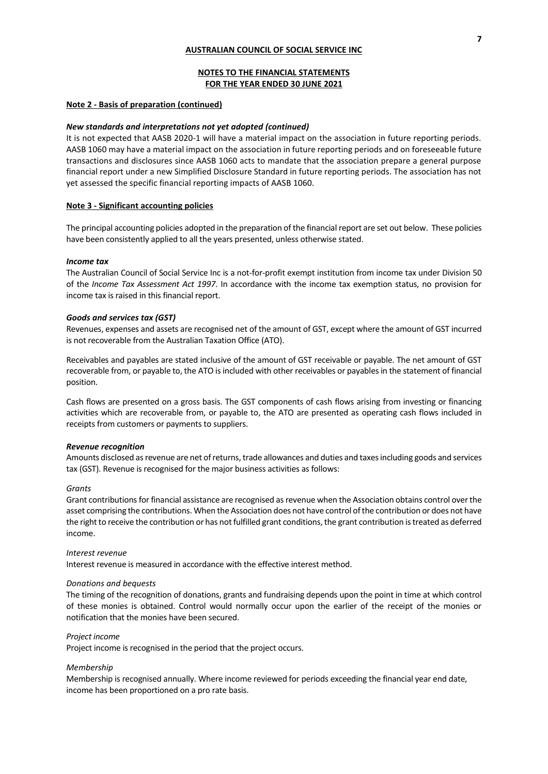## **NOTES TO THE FINANCIAL STATEMENTS FOR THE YEAR ENDED 30 JUNE 2021**

## **Note 2 - Basis of preparation (continued)**

#### *New standards and interpretations not yet adopted (continued)*

It is not expected that AASB 2020-1 will have a material impact on the association in future reporting periods. AASB 1060 may have a material impact on the association in future reporting periods and on foreseeable future transactions and disclosures since AASB 1060 acts to mandate that the association prepare a general purpose financial report under a new Simplified Disclosure Standard in future reporting periods. The association has not yet assessed the specific financial reporting impacts of AASB 1060.

### **Note 3 - Significant accounting policies**

The principal accounting policies adopted in the preparation of the financial report are set out below. These policies have been consistently applied to all the years presented, unless otherwise stated.

#### *Income tax*

The Australian Council of Social Service Inc is a not-for-profit exempt institution from income tax under Division 50 of the *Income Tax Assessment Act 1997*. In accordance with the income tax exemption status, no provision for income tax is raised in this financial report.

### *Goods and services tax (GST)*

Revenues, expenses and assets are recognised net of the amount of GST, except where the amount of GST incurred is not recoverable from the Australian Taxation Office (ATO).

Receivables and payables are stated inclusive of the amount of GST receivable or payable. The net amount of GST recoverable from, or payable to, the ATO is included with other receivables or payables in the statement of financial position.

Cash flows are presented on a gross basis. The GST components of cash flows arising from investing or financing activities which are recoverable from, or payable to, the ATO are presented as operating cash flows included in receipts from customers or payments to suppliers.

### *Revenue recognition*

Amounts disclosed as revenue are net of returns, trade allowances and duties and taxes including goods and services tax (GST). Revenue is recognised for the major business activities as follows:

#### *Grants*

Grant contributions for financial assistance are recognised as revenue when the Association obtains control over the asset comprising the contributions. When the Association does not have control of the contribution or does not have the right to receive the contribution or has not fulfilled grant conditions, the grant contribution is treated as deferred income.

#### *Interest revenue*

Interest revenue is measured in accordance with the effective interest method.

### *Donations and bequests*

The timing of the recognition of donations, grants and fundraising depends upon the point in time at which control of these monies is obtained. Control would normally occur upon the earlier of the receipt of the monies or notification that the monies have been secured.

### *Project income*

Project income is recognised in the period that the project occurs.

### *Membership*

Membership is recognised annually. Where income reviewed for periods exceeding the financial year end date, income has been proportioned on a pro rate basis.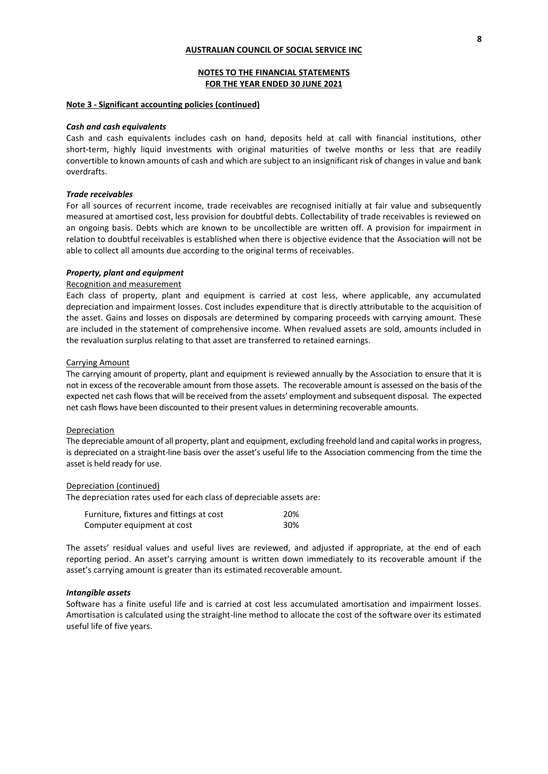## **NOTES TO THE FINANCIAL STATEMENTS FOR THE YEAR ENDED 30 JUNE 2021**

### **Note 3 - Significant accounting policies (continued)**

### *Cash and cash equivalents*

Cash and cash equivalents includes cash on hand, deposits held at call with financial institutions, other short-term, highly liquid investments with original maturities of twelve months or less that are readily convertible to known amounts of cash and which are subject to an insignificant risk of changes in value and bank overdrafts.

### *Trade receivables*

For all sources of recurrent income, trade receivables are recognised initially at fair value and subsequently measured at amortised cost, less provision for doubtful debts. Collectability of trade receivables is reviewed on an ongoing basis. Debts which are known to be uncollectible are written off. A provision for impairment in relation to doubtful receivables is established when there is objective evidence that the Association will not be able to collect all amounts due according to the original terms of receivables.

#### *Property, plant and equipment*

#### Recognition and measurement

Each class of property, plant and equipment is carried at cost less, where applicable, any accumulated depreciation and impairment losses. Cost includes expenditure that is directly attributable to the acquisition of the asset. Gains and losses on disposals are determined by comparing proceeds with carrying amount. These are included in the statement of comprehensive income. When revalued assets are sold, amounts included in the revaluation surplus relating to that asset are transferred to retained earnings.

#### Carrying Amount

The carrying amount of property, plant and equipment is reviewed annually by the Association to ensure that it is not in excess of the recoverable amount from those assets. The recoverable amount is assessed on the basis of the expected net cash flows that will be received from the assets' employment and subsequent disposal. The expected net cash flows have been discounted to their present values in determining recoverable amounts.

#### Depreciation

The depreciable amount of all property, plant and equipment, excluding freehold land and capital works in progress, is depreciated on a straight-line basis over the asset's useful life to the Association commencing from the time the asset is held ready for use.

#### Depreciation (continued)

The depreciation rates used for each class of depreciable assets are:

| Furniture, fixtures and fittings at cost | 20% |
|------------------------------------------|-----|
| Computer equipment at cost               | 30% |

The assets' residual values and useful lives are reviewed, and adjusted if appropriate, at the end of each reporting period. An asset's carrying amount is written down immediately to its recoverable amount if the asset's carrying amount is greater than its estimated recoverable amount.

#### *Intangible assets*

Software has a finite useful life and is carried at cost less accumulated amortisation and impairment losses. Amortisation is calculated using the straight-line method to allocate the cost of the software over its estimated useful life of five years.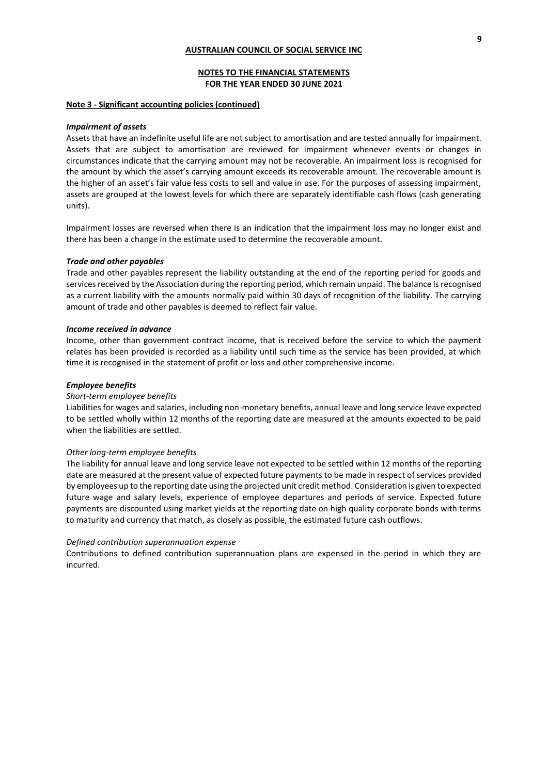## **NOTES TO THE FINANCIAL STATEMENTS FOR THE YEAR ENDED 30 JUNE 2021**

### **Note 3 - Significant accounting policies (continued)**

#### *Impairment of assets*

Assets that have an indefinite useful life are not subject to amortisation and are tested annually for impairment. Assets that are subject to amortisation are reviewed for impairment whenever events or changes in circumstances indicate that the carrying amount may not be recoverable. An impairment loss is recognised for the amount by which the asset's carrying amount exceeds its recoverable amount. The recoverable amount is the higher of an asset's fair value less costs to sell and value in use. For the purposes of assessing impairment, assets are grouped at the lowest levels for which there are separately identifiable cash flows (cash generating units).

Impairment losses are reversed when there is an indication that the impairment loss may no longer exist and there has been a change in the estimate used to determine the recoverable amount.

#### *Trade and other payables*

Trade and other payables represent the liability outstanding at the end of the reporting period for goods and services received by the Association during the reporting period, which remain unpaid. The balance is recognised as a current liability with the amounts normally paid within 30 days of recognition of the liability. The carrying amount of trade and other payables is deemed to reflect fair value.

#### *Income received in advance*

Income, other than government contract income, that is received before the service to which the payment relates has been provided is recorded as a liability until such time as the service has been provided, at which time it is recognised in the statement of profit or loss and other comprehensive income.

### *Employee benefits*

#### *Short-term employee benefits*

Liabilities for wages and salaries, including non-monetary benefits, annual leave and long service leave expected to be settled wholly within 12 months of the reporting date are measured at the amounts expected to be paid when the liabilities are settled.

### *Other long-term employee benefits*

The liability for annual leave and long service leave not expected to be settled within 12 months of the reporting date are measured at the present value of expected future payments to be made in respect of services provided by employees up to the reporting date using the projected unit credit method. Consideration is given to expected future wage and salary levels, experience of employee departures and periods of service. Expected future payments are discounted using market yields at the reporting date on high quality corporate bonds with terms to maturity and currency that match, as closely as possible, the estimated future cash outflows.

### *Defined contribution superannuation expense*

Contributions to defined contribution superannuation plans are expensed in the period in which they are incurred.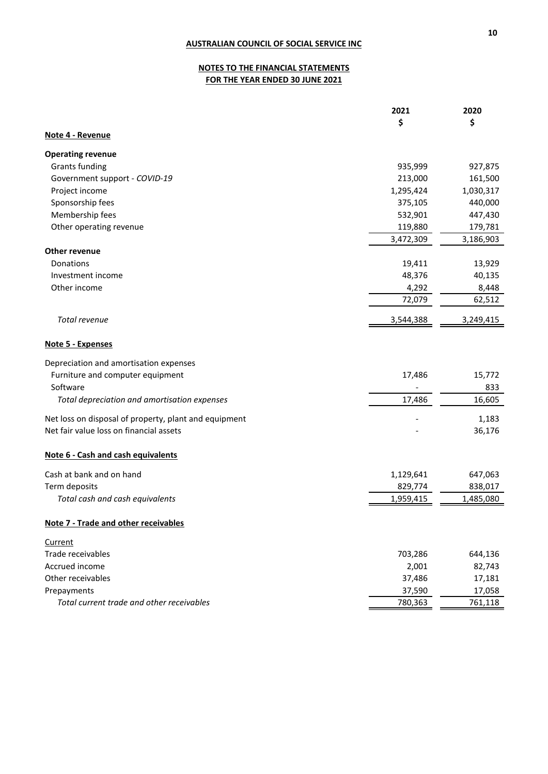# **NOTES TO THE FINANCIAL STATEMENTS FOR THE YEAR ENDED 30 JUNE 2021**

|                                                       | 2021      | 2020      |
|-------------------------------------------------------|-----------|-----------|
|                                                       | \$        | \$        |
| Note 4 - Revenue                                      |           |           |
| <b>Operating revenue</b>                              |           |           |
| <b>Grants funding</b>                                 | 935,999   | 927,875   |
| Government support - COVID-19                         | 213,000   | 161,500   |
| Project income                                        | 1,295,424 | 1,030,317 |
| Sponsorship fees                                      | 375,105   | 440,000   |
| Membership fees                                       | 532,901   | 447,430   |
| Other operating revenue                               | 119,880   | 179,781   |
|                                                       | 3,472,309 | 3,186,903 |
| Other revenue                                         |           |           |
| Donations                                             | 19,411    | 13,929    |
| Investment income                                     | 48,376    | 40,135    |
| Other income                                          | 4,292     | 8,448     |
|                                                       | 72,079    | 62,512    |
| Total revenue                                         | 3,544,388 | 3,249,415 |
| Note 5 - Expenses                                     |           |           |
| Depreciation and amortisation expenses                |           |           |
| Furniture and computer equipment                      | 17,486    | 15,772    |
| Software                                              |           | 833       |
| Total depreciation and amortisation expenses          | 17,486    | 16,605    |
| Net loss on disposal of property, plant and equipment |           | 1,183     |
| Net fair value loss on financial assets               |           | 36,176    |
| Note 6 - Cash and cash equivalents                    |           |           |
| Cash at bank and on hand                              | 1,129,641 | 647,063   |
| Term deposits                                         | 829,774   | 838,017   |
| Total cash and cash equivalents                       | 1,959,415 | 1,485,080 |
| <b>Note 7 - Trade and other receivables</b>           |           |           |
| Current                                               |           |           |
| Trade receivables                                     | 703,286   | 644,136   |
| Accrued income                                        | 2,001     | 82,743    |
| Other receivables                                     | 37,486    | 17,181    |
| Prepayments                                           | 37,590    | 17,058    |
| Total current trade and other receivables             | 780,363   | 761,118   |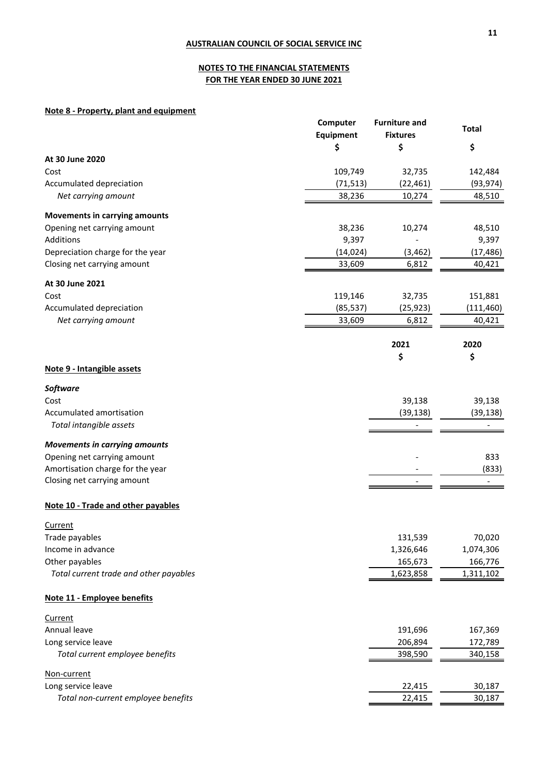# **NOTES TO THE FINANCIAL STATEMENTS FOR THE YEAR ENDED 30 JUNE 2021**

# **Note 8 - Property, plant and equipment**

|                                        | Computer<br>Equipment | <b>Furniture and</b><br><b>Fixtures</b> | <b>Total</b> |
|----------------------------------------|-----------------------|-----------------------------------------|--------------|
|                                        | \$                    | \$                                      | \$           |
| At 30 June 2020                        |                       |                                         |              |
| Cost                                   | 109,749               | 32,735                                  | 142,484      |
| Accumulated depreciation               | (71, 513)             | (22, 461)                               | (93, 974)    |
| Net carrying amount                    | 38,236                | 10,274                                  | 48,510       |
| <b>Movements in carrying amounts</b>   |                       |                                         |              |
| Opening net carrying amount            | 38,236                | 10,274                                  | 48,510       |
| <b>Additions</b>                       | 9,397                 |                                         | 9,397        |
| Depreciation charge for the year       | (14, 024)             | (3, 462)                                | (17, 486)    |
| Closing net carrying amount            | 33,609                | 6,812                                   | 40,421       |
| At 30 June 2021                        |                       |                                         |              |
| Cost                                   | 119,146               | 32,735                                  | 151,881      |
| Accumulated depreciation               | (85, 537)             | (25, 923)                               | (111, 460)   |
| Net carrying amount                    | 33,609                | 6,812                                   | 40,421       |
|                                        |                       | 2021                                    | 2020         |
|                                        |                       | \$                                      | \$           |
| Note 9 - Intangible assets             |                       |                                         |              |
| <b>Software</b>                        |                       |                                         |              |
| Cost                                   |                       | 39,138                                  | 39,138       |
| Accumulated amortisation               |                       | (39, 138)                               | (39, 138)    |
| Total intangible assets                |                       |                                         |              |
| <b>Movements in carrying amounts</b>   |                       |                                         |              |
| Opening net carrying amount            |                       |                                         | 833          |
| Amortisation charge for the year       |                       |                                         | (833)        |
| Closing net carrying amount            |                       |                                         |              |
| Note 10 - Trade and other payables     |                       |                                         |              |
| <b>Current</b>                         |                       |                                         |              |
| Trade payables                         |                       | 131,539                                 | 70,020       |
| Income in advance                      |                       | 1,326,646                               | 1,074,306    |
| Other payables                         |                       | 165,673                                 | 166,776      |
| Total current trade and other payables |                       | 1,623,858                               | 1,311,102    |
| Note 11 - Employee benefits            |                       |                                         |              |
| Current                                |                       |                                         |              |
| Annual leave                           |                       | 191,696                                 | 167,369      |
| Long service leave                     |                       | 206,894                                 | 172,789      |
| Total current employee benefits        |                       | 398,590                                 | 340,158      |
| Non-current                            |                       |                                         |              |
| Long service leave                     |                       | 22,415                                  | 30,187       |
| Total non-current employee benefits    |                       | 22,415                                  | 30,187       |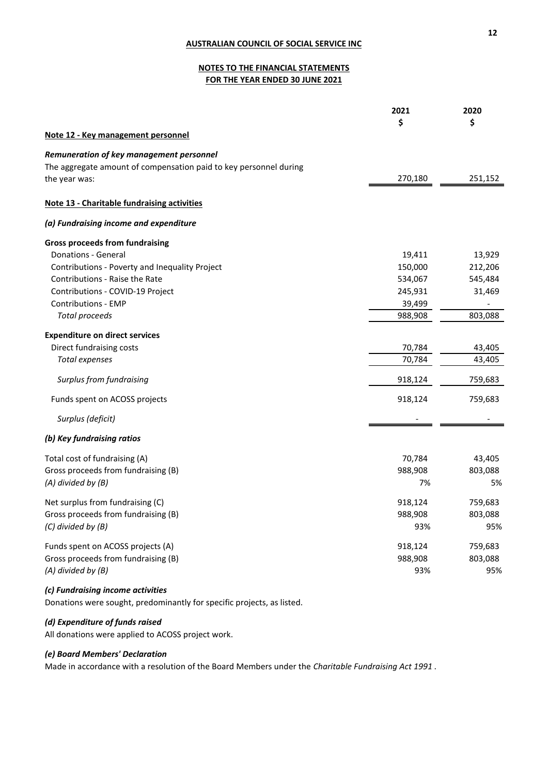# **NOTES TO THE FINANCIAL STATEMENTS FOR THE YEAR ENDED 30 JUNE 2021**

|                                                                   | 2021    | 2020    |
|-------------------------------------------------------------------|---------|---------|
|                                                                   | \$      | \$      |
| Note 12 - Key management personnel                                |         |         |
| Remuneration of key management personnel                          |         |         |
| The aggregate amount of compensation paid to key personnel during |         |         |
| the year was:                                                     | 270,180 | 251,152 |
| Note 13 - Charitable fundraising activities                       |         |         |
| (a) Fundraising income and expenditure                            |         |         |
| <b>Gross proceeds from fundraising</b>                            |         |         |
| Donations - General                                               | 19,411  | 13,929  |
| Contributions - Poverty and Inequality Project                    | 150,000 | 212,206 |
| Contributions - Raise the Rate                                    | 534,067 | 545,484 |
| Contributions - COVID-19 Project                                  | 245,931 | 31,469  |
| Contributions - EMP                                               | 39,499  |         |
| <b>Total proceeds</b>                                             | 988,908 | 803,088 |
| <b>Expenditure on direct services</b>                             |         |         |
| Direct fundraising costs                                          | 70,784  | 43,405  |
| <b>Total expenses</b>                                             | 70,784  | 43,405  |
| Surplus from fundraising                                          | 918,124 | 759,683 |
| Funds spent on ACOSS projects                                     | 918,124 | 759,683 |
| Surplus (deficit)                                                 |         |         |
| (b) Key fundraising ratios                                        |         |         |
| Total cost of fundraising (A)                                     | 70,784  | 43,405  |
| Gross proceeds from fundraising (B)                               | 988,908 | 803,088 |
| $(A)$ divided by $(B)$                                            | 7%      | 5%      |
| Net surplus from fundraising (C)                                  | 918,124 | 759,683 |
| Gross proceeds from fundraising (B)                               | 988,908 | 803,088 |
| $(C)$ divided by $(B)$                                            | 93%     | 95%     |
| Funds spent on ACOSS projects (A)                                 | 918,124 | 759,683 |
| Gross proceeds from fundraising (B)                               | 988,908 | 803,088 |
| $(A)$ divided by $(B)$                                            | 93%     | 95%     |
|                                                                   |         |         |

# *(c) Fundraising income activities*

Donations were sought, predominantly for specific projects, as listed.

# *(d) Expenditure of funds raised*

All donations were applied to ACOSS project work.

# *(e) Board Members' Declaration*

Made in accordance with a resolution of the Board Members under the *Charitable Fundraising Act 1991* .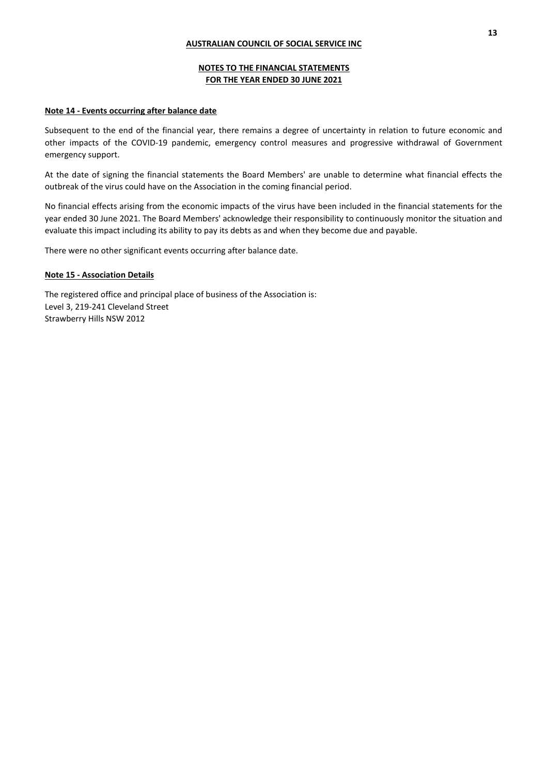# **NOTES TO THE FINANCIAL STATEMENTS FOR THE YEAR ENDED 30 JUNE 2021**

# **Note 14 - Events occurring after balance date**

Subsequent to the end of the financial year, there remains a degree of uncertainty in relation to future economic and other impacts of the COVID-19 pandemic, emergency control measures and progressive withdrawal of Government emergency support.

At the date of signing the financial statements the Board Members' are unable to determine what financial effects the outbreak of the virus could have on the Association in the coming financial period.

No financial effects arising from the economic impacts of the virus have been included in the financial statements for the year ended 30 June 2021. The Board Members' acknowledge their responsibility to continuously monitor the situation and evaluate this impact including its ability to pay its debts as and when they become due and payable.

There were no other significant events occurring after balance date.

## **Note 15 - Association Details**

The registered office and principal place of business of the Association is: Level 3, 219-241 Cleveland Street Strawberry Hills NSW 2012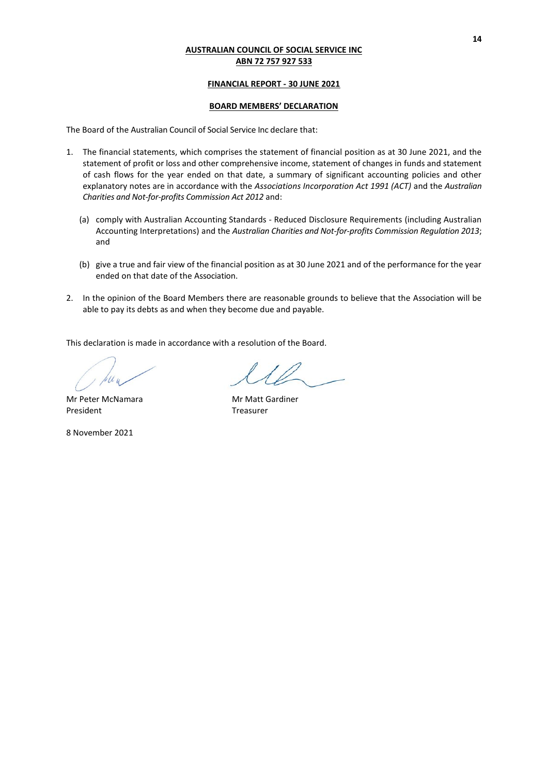# **FINANCIAL REPORT - 30 JUNE 2021**

# **BOARD MEMBERS' DECLARATION**

The Board of the Australian Council of Social Service Inc declare that:

- 1. The financial statements, which comprises the statement of financial position as at 30 June 2021, and the statement of profit or loss and other comprehensive income, statement of changes in funds and statement of cash flows for the year ended on that date, a summary of significant accounting policies and other explanatory notes are in accordance with the *Associations Incorporation Act 1991 (ACT)* and the *Australian Charities and Not-for-profits Commission Act 2012* and:
	- (a) comply with Australian Accounting Standards Reduced Disclosure Requirements (including Australian Accounting Interpretations) and the *Australian Charities and Not-for-profits Commission Regulation 2013*; and
	- (b) give a true and fair view of the financial position as at 30 June 2021 and of the performance for the year ended on that date of the Association.
- 2. In the opinion of the Board Members there are reasonable grounds to believe that the Association will be able to pay its debts as and when they become due and payable.

This declaration is made in accordance with a resolution of the Board.

Mr Peter McNamara Mr Matt Gardiner President Treasurer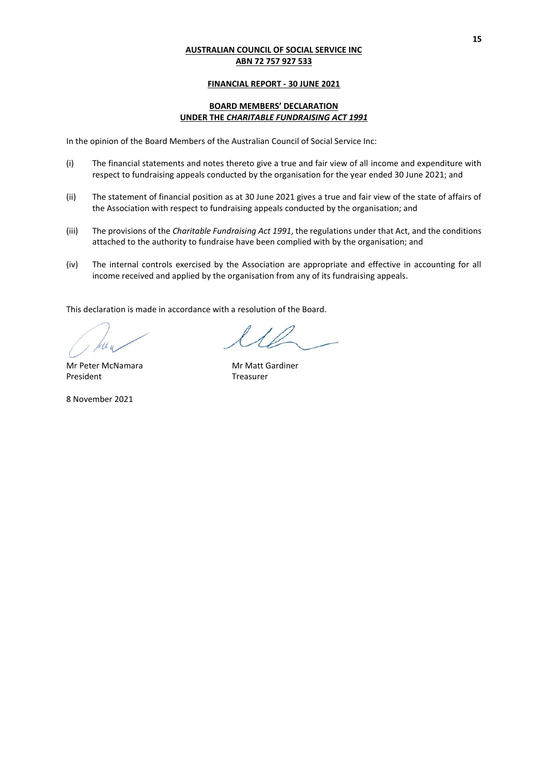# **FINANCIAL REPORT - 30 JUNE 2021**

# **BOARD MEMBERS' DECLARATION UNDER THE** *CHARITABLE FUNDRAISING ACT 1991*

In the opinion of the Board Members of the Australian Council of Social Service Inc:

- (i) The financial statements and notes thereto give a true and fair view of all income and expenditure with respect to fundraising appeals conducted by the organisation for the year ended 30 June 2021; and
- (ii) The statement of financial position as at 30 June 2021 gives a true and fair view of the state of affairs of the Association with respect to fundraising appeals conducted by the organisation; and
- (iii) The provisions of the *Charitable Fundraising Act 1991*, the regulations under that Act, and the conditions attached to the authority to fundraise have been complied with by the organisation; and
- (iv) The internal controls exercised by the Association are appropriate and effective in accounting for all income received and applied by the organisation from any of its fundraising appeals.

This declaration is made in accordance with a resolution of the Board.

President Treasurer

10

Mr Peter McNamara Mr Matt Gardiner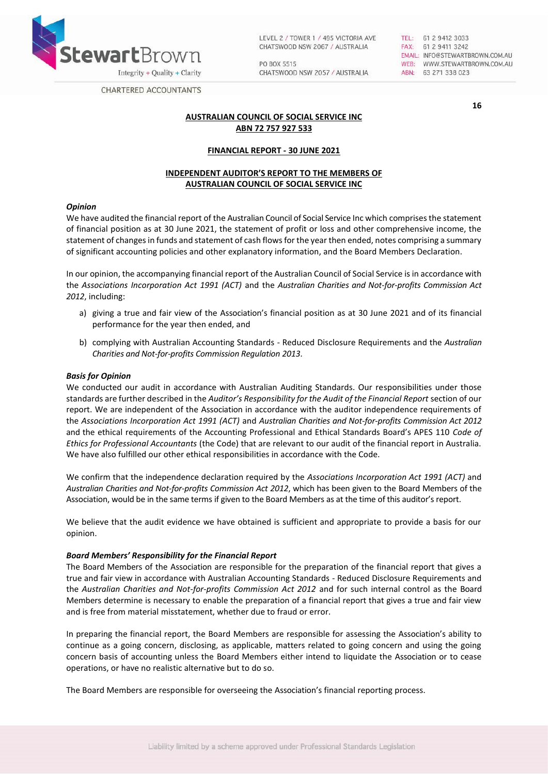

LEVEL 2 / TOWER 1 / 495 VICTORIA AVE CHATSWOOD NSW 2067 / AUSTRALIA

PO BOX 5515 CHATSWOOD NSW 2057 / AUSTRALIA TEL: 61 2 9412 3033 FAX: 61 2 9411 3242 EMAIL: INFO@STEWARTBROWN.COM.AU WEB: WWW.STEWARTBROWN.COM.AU ABN: 63 271 338 023

**16**

**CHARTERED ACCOUNTANTS** 

# **AUSTRALIAN COUNCIL OF SOCIAL SERVICE INC ABN 72 757 927 533**

# **FINANCIAL REPORT - 30 JUNE 2021**

# **INDEPENDENT AUDITOR'S REPORT TO THE MEMBERS OF AUSTRALIAN COUNCIL OF SOCIAL SERVICE INC**

## *Opinion*

We have audited the financial report of the Australian Council of Social Service Inc which comprises the statement of financial position as at 30 June 2021, the statement of profit or loss and other comprehensive income, the statement of changes in funds and statement of cash flows for the year then ended, notes comprising a summary of significant accounting policies and other explanatory information, and the Board Members Declaration.

In our opinion, the accompanying financial report of the Australian Council of Social Service is in accordance with the *Associations Incorporation Act 1991 (ACT)* and the *Australian Charities and Not-for-profits Commission Act 2012*, including:

- a) giving a true and fair view of the Association's financial position as at 30 June 2021 and of its financial performance for the year then ended, and
- b) complying with Australian Accounting Standards Reduced Disclosure Requirements and the *Australian Charities and Not-for-profits Commission Regulation 2013*.

### *Basis for Opinion*

We conducted our audit in accordance with Australian Auditing Standards. Our responsibilities under those standards are further described in the *Auditor's Responsibility for the Audit of the Financial Report* section of our report. We are independent of the Association in accordance with the auditor independence requirements of the *Associations Incorporation Act 1991 (ACT)* and *Australian Charities and Not-for-profits Commission Act 2012*  and the ethical requirements of the Accounting Professional and Ethical Standards Board's APES 110 *Code of Ethics for Professional Accountants* (the Code) that are relevant to our audit of the financial report in Australia. We have also fulfilled our other ethical responsibilities in accordance with the Code.

We confirm that the independence declaration required by the *Associations Incorporation Act 1991 (ACT)* and *Australian Charities and Not-for-profits Commission Act 2012*, which has been given to the Board Members of the Association, would be in the same terms if given to the Board Members as at the time of this auditor's report.

We believe that the audit evidence we have obtained is sufficient and appropriate to provide a basis for our opinion.

## *Board Members' Responsibility for the Financial Report*

The Board Members of the Association are responsible for the preparation of the financial report that gives a true and fair view in accordance with Australian Accounting Standards - Reduced Disclosure Requirements and the *Australian Charities and Not-for-profits Commission Act 2012* and for such internal control as the Board Members determine is necessary to enable the preparation of a financial report that gives a true and fair view and is free from material misstatement, whether due to fraud or error.

In preparing the financial report, the Board Members are responsible for assessing the Association's ability to continue as a going concern, disclosing, as applicable, matters related to going concern and using the going concern basis of accounting unless the Board Members either intend to liquidate the Association or to cease operations, or have no realistic alternative but to do so.

The Board Members are responsible for overseeing the Association's financial reporting process.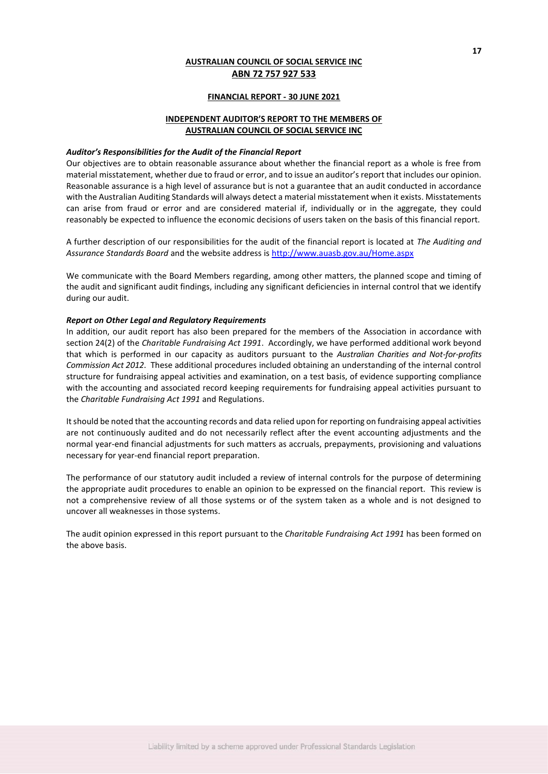### **FINANCIAL REPORT - 30 JUNE 2021**

# **INDEPENDENT AUDITOR'S REPORT TO THE MEMBERS OF AUSTRALIAN COUNCIL OF SOCIAL SERVICE INC**

#### *Auditor's Responsibilities for the Audit of the Financial Report*

Our objectives are to obtain reasonable assurance about whether the financial report as a whole is free from material misstatement, whether due to fraud or error, and to issue an auditor's report that includes our opinion. Reasonable assurance is a high level of assurance but is not a guarantee that an audit conducted in accordance with the Australian Auditing Standards will always detect a material misstatement when it exists. Misstatements can arise from fraud or error and are considered material if, individually or in the aggregate, they could reasonably be expected to influence the economic decisions of users taken on the basis of this financial report.

A further description of our responsibilities for the audit of the financial report is located at *The Auditing and Assurance Standards Board* and the website address is<http://www.auasb.gov.au/Home.aspx>

We communicate with the Board Members regarding, among other matters, the planned scope and timing of the audit and significant audit findings, including any significant deficiencies in internal control that we identify during our audit.

## *Report on Other Legal and Regulatory Requirements*

In addition, our audit report has also been prepared for the members of the Association in accordance with section 24(2) of the *Charitable Fundraising Act 1991*. Accordingly, we have performed additional work beyond that which is performed in our capacity as auditors pursuant to the *Australian Charities and Not-for-profits Commission Act 2012*. These additional procedures included obtaining an understanding of the internal control structure for fundraising appeal activities and examination, on a test basis, of evidence supporting compliance with the accounting and associated record keeping requirements for fundraising appeal activities pursuant to the *Charitable Fundraising Act 1991* and Regulations.

It should be noted that the accounting records and data relied upon for reporting on fundraising appeal activities are not continuously audited and do not necessarily reflect after the event accounting adjustments and the normal year-end financial adjustments for such matters as accruals, prepayments, provisioning and valuations necessary for year-end financial report preparation.

The performance of our statutory audit included a review of internal controls for the purpose of determining the appropriate audit procedures to enable an opinion to be expressed on the financial report. This review is not a comprehensive review of all those systems or of the system taken as a whole and is not designed to uncover all weaknesses in those systems.

The audit opinion expressed in this report pursuant to the *Charitable Fundraising Act 1991* has been formed on the above basis.